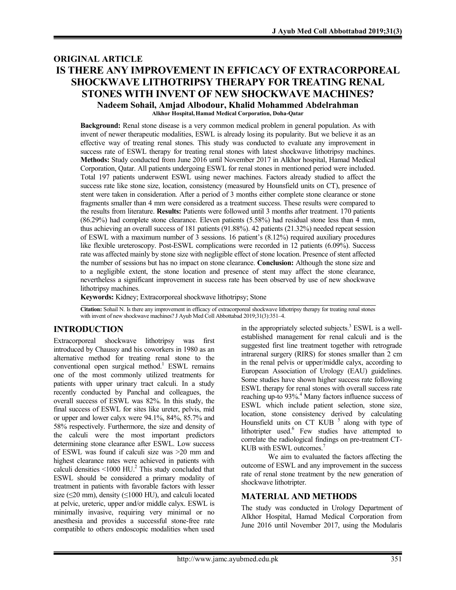# **ORIGINAL ARTICLE IS THERE ANY IMPROVEMENT IN EFFICACY OF EXTRACORPOREAL SHOCKWAVE LITHOTRIPSY THERAPY FOR TREATING RENAL STONES WITH INVENT OF NEW SHOCKWAVE MACHINES? Nadeem Sohail, Amjad Albodour, Khalid Mohammed Abdelrahman**

**Alkhor Hospital, Hamad Medical Corporation, Doha-Qatar**

**Background:** Renal stone disease is a very common medical problem in general population. As with invent of newer therapeutic modalities, ESWL is already losing its popularity. But we believe it as an effective way of treating renal stones. This study was conducted to evaluate any improvement in success rate of ESWL therapy for treating renal stones with latest shockwave lithotripsy machines. **Methods:** Study conducted from June 2016 until November 2017 in Alkhor hospital, Hamad Medical Corporation, Qatar. All patients undergoing ESWL for renal stones in mentioned period were included. Total 197 patients underwent ESWL using newer machines. Factors already studied to affect the success rate like stone size, location, consistency (measured by Hounsfield units on CT), presence of stent were taken in consideration. After a period of 3 months either complete stone clearance or stone fragments smaller than 4 mm were considered as a treatment success. These results were compared to the results from literature. **Results:** Patients were followed until 3 months after treatment. 170 patients (86.29%) had complete stone clearance. Eleven patients (5.58%) had residual stone less than 4 mm, thus achieving an overall success of 181 patients (91.88%). 42 patients (21.32%) needed repeat session of ESWL with a maximum number of 3 sessions. 16 patient's (8.12%) required auxiliary procedures like flexible ureteroscopy. Post-ESWL complications were recorded in 12 patients (6.09%). Success rate was affected mainly by stone size with negligible effect of stone location. Presence of stent affected the number of sessions but has no impact on stone clearance. **Conclusion:** Although the stone size and to a negligible extent, the stone location and presence of stent may affect the stone clearance, nevertheless a significant improvement in success rate has been observed by use of new shockwave lithotripsy machines.

**Keywords:** Kidney; Extracorporeal shockwave lithotripsy; Stone

**Citation:** Sohail N. Is there any improvement in efficacy of extracorporeal shockwave lithotripsy therapy for treating renal stones with invent of new shockwave machines? J Ayub Med Coll Abbottabad 2019;31(3):351–4.

# **INTRODUCTION**

Extracorporeal shockwave lithotripsy was first introduced by Chaussy and his coworkers in 1980 as an alternative method for treating renal stone to the conventional open surgical method. <sup>1</sup> ESWL remains one of the most commonly utilized treatments for patients with upper urinary tract calculi. In a study recently conducted by Panchal and colleagues, the overall success of ESWL was 82%. In this study, the final success of ESWL for sites like ureter, pelvis, mid or upper and lower calyx were 94.1%, 84%, 85.7% and 58% respectively. Furthermore, the size and density of the calculi were the most important predictors determining stone clearance after ESWL. Low success of ESWL was found if calculi size was >20 mm and highest clearance rates were achieved in patients with calculi densities  $\leq 1000$  HU.<sup>2</sup> This study concluded that ESWL should be considered a primary modality of treatment in patients with favorable factors with lesser size ( $\leq$ 20 mm), density ( $\leq$ 1000 HU), and calculi located at pelvic, ureteric, upper and/or middle calyx. ESWL is minimally invasive, requiring very minimal or no anesthesia and provides a successful stone-free rate compatible to others endoscopic modalities when used

in the appropriately selected subjects.<sup>3</sup> ESWL is a wellestablished management for renal calculi and is the suggested first line treatment together with retrograde intrarenal surgery (RIRS) for stones smaller than 2 cm in the renal pelvis or upper/middle calyx, according to European Association of Urology (EAU) guidelines. Some studies have shown higher success rate following ESWL therapy for renal stones with overall success rate reaching up-to 93%. <sup>4</sup> Many factors influence success of ESWL which include patient selection, stone size, location, stone consistency derived by calculating Hounsfield units on CT KUB<sup>5</sup> along with type of lithotripter used.<sup>6</sup> Few studies have attempted to correlate the radiological findings on pre-treatment CT-KUB with ESWL outcomes. 7

We aim to evaluated the factors affecting the outcome of ESWL and any improvement in the success rate of renal stone treatment by the new generation of shockwave lithotripter.

### **MATERIAL AND METHODS**

The study was conducted in Urology Department of Alkhor Hospital, Hamad Medical Corporation from June 2016 until November 2017, using the Modularis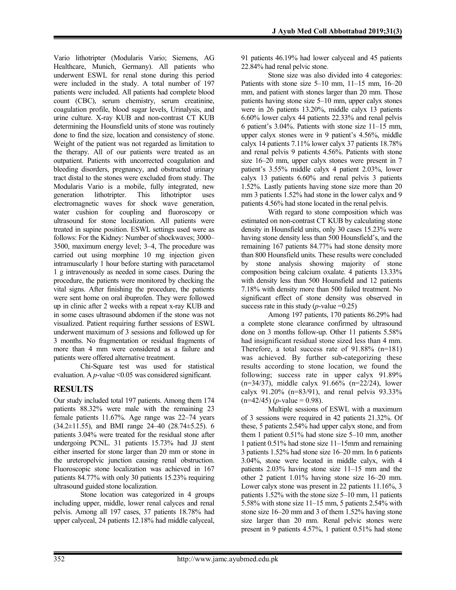Vario lithotripter (Modularis Vario; Siemens, AG Healthcare, Munich, Germany). All patients who underwent ESWL for renal stone during this period were included in the study. A total number of 197 patients were included. All patients had complete blood count (CBC), serum chemistry, serum creatinine, coagulation profile, blood sugar levels, Urinalysis, and urine culture. X-ray KUB and non-contrast CT KUB determining the Hounsfield units of stone was routinely done to find the size, location and consistency of stone. Weight of the patient was not regarded as limitation to the therapy. All of our patients were treated as an outpatient. Patients with uncorrected coagulation and bleeding disorders, pregnancy, and obstructed urinary tract distal to the stones were excluded from study. The Modularis Vario is a mobile, fully integrated, new generation lithotripter. This lithotriptor uses electromagnetic waves for shock wave generation, water cushion for coupling and fluoroscopy or ultrasound for stone localization. All patients were treated in supine position. ESWL settings used were as follows: For the Kidney: Number of shockwaves; 3000– 3500, maximum energy level; 3–4, The procedure was carried out using morphine 10 mg injection given intramuscularly 1 hour before starting with paracetamol 1 g intravenously as needed in some cases. During the procedure, the patients were monitored by checking the vital signs. After finishing the procedure, the patients were sent home on oral ibuprofen. They were followed up in clinic after 2 weeks with a repeat x-ray KUB and in some cases ultrasound abdomen if the stone was not visualized. Patient requiring further sessions of ESWL underwent maximum of 3 sessions and followed up for 3 months. No fragmentation or residual fragments of more than 4 mm were considered as a failure and patients were offered alternative treatment.

Chi-Square test was used for statistical evaluation. A *p*-value <0.05 was considered significant.

# **RESULTS**

Our study included total 197 patients. Among them 174 patients 88.32% were male with the remaining 23 female patients 11.67%. Age range was 22–74 years (34.2±11.55), and BMI range 24–40 (28.74±5.25). 6 patients 3.04% were treated for the residual stone after undergoing PCNL. 31 patients 15.73% had JJ stent either inserted for stone larger than 20 mm or stone in the ureteropelvic junction causing renal obstruction. Fluoroscopic stone localization was achieved in 167 patients 84.77% with only 30 patients 15.23% requiring ultrasound guided stone localization.

Stone location was categorized in 4 groups including upper, middle, lower renal calyces and renal pelvis. Among all 197 cases, 37 patients 18.78% had upper calyceal, 24 patients 12.18% had middle calyceal, 91 patients 46.19% had lower calyceal and 45 patients 22.84% had renal pelvic stone.

Stone size was also divided into 4 categories: Patients with stone size  $5-10$  mm,  $11-15$  mm,  $16-20$ mm, and patient with stones larger than 20 mm. Those patients having stone size 5–10 mm, upper calyx stones were in 26 patients 13.20%, middle calyx 13 patients 6.60% lower calyx 44 patients 22.33% and renal pelvis 6 patient's 3.04%. Patients with stone size 11–15 mm, upper calyx stones were in 9 patient's 4.56%, middle calyx 14 patients 7.11% lower calyx 37 patients 18.78% and renal pelvis 9 patients 4.56%. Patients with stone size 16–20 mm, upper calyx stones were present in 7 patient's 3.55% middle calyx 4 patient 2.03%, lower calyx 13 patients 6.60% and renal pelvis 3 patients 1.52%. Lastly patients having stone size more than 20 mm 3 patients 1.52% had stone in the lower calyx and 9 patients 4.56% had stone located in the renal pelvis.

With regard to stone composition which was estimated on non-contrast CT KUB by calculating stone density in Hounsfield units, only 30 cases 15.23% were having stone density less than 500 Hounsfield's, and the remaining 167 patients 84.77% had stone density more than 800 Hounsfield units. These results were concluded by stone analysis showing majority of stone composition being calcium oxalate. 4 patients 13.33% with density less than 500 Hounsfield and 12 patients 7.18% with density more than 500 failed treatment. No significant effect of stone density was observed in success rate in this study ( $p$ -value =0.25)

Among 197 patients, 170 patients 86.29% had a complete stone clearance confirmed by ultrasound done on 3 months follow-up. Other 11 patients 5.58% had insignificant residual stone sized less than 4 mm. Therefore, a total success rate of 91.88% (n=181) was achieved. By further sub-categorizing these results according to stone location, we found the following; success rate in upper calyx 91.89% (n=34/37), middle calyx 91.66% (n=22/24), lower calyx 91.20% (n=83/91), and renal pelvis 93.33%  $(n=42/45)$  (*p*-value = 0.98).

Multiple sessions of ESWL with a maximum of 3 sessions were required in 42 patients 21.32%. Of these, 5 patients 2.54% had upper calyx stone, and from them 1 patient 0.51% had stone size 5–10 mm, another 1 patient 0.51% had stone size 11–15mm and remaining 3 patients 1.52% had stone size 16–20 mm. In 6 patients 3.04%, stone were located in middle calyx, with 4 patients 2.03% having stone size 11–15 mm and the other 2 patient 1.01% having stone size 16–20 mm. Lower calyx stone was present in 22 patients 11.16%, 3 patients 1.52% with the stone size 5–10 mm, 11 patients 5.58% with stone size 11–15 mm, 5 patients 2.54% with stone size 16–20 mm and 3 of them 1.52% having stone size larger than 20 mm. Renal pelvic stones were present in 9 patients 4.57%, 1 patient 0.51% had stone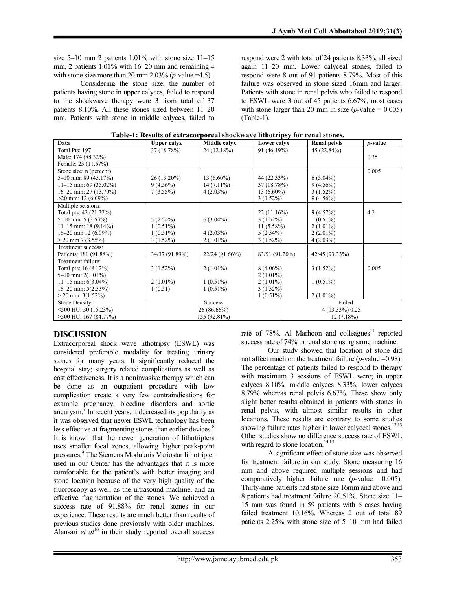size 5–10 mm 2 patients 1.01% with stone size 11–15 mm, 2 patients 1.01% with 16–20 mm and remaining 4 with stone size more than 20 mm  $2.03\%$  (*p*-value =4.5).

Considering the stone size, the number of patients having stone in upper calyces, failed to respond to the shockwave therapy were 3 from total of 37 patients 8.10%. All these stones sized between 11–20 mm. Patients with stone in middle calyces, failed to

respond were 2 with total of 24 patients 8.33%, all sized again 11–20 mm. Lower calyceal stones, failed to respond were 8 out of 91 patients 8.79%. Most of this failure was observed in stone sized 16mm and larger. Patients with stone in renal pelvis who failed to respond to ESWL were 3 out of 45 patients 6.67%, most cases with stone larger than 20 mm in size  $(p$ -value =  $0.005$ ) (Table-1).

| Data                       | <b>Upper calyx</b> | Middle calyx   | Lower calyx     |  | <b>Renal pelvis</b> | <i>p</i> -value |
|----------------------------|--------------------|----------------|-----------------|--|---------------------|-----------------|
| Total Pts: 197             | 37 (18.78%)        | 24 (12.18%)    | 91 (46.19%)     |  | 45 (22.84%)         |                 |
| Male: 174 (88.32%)         |                    |                |                 |  |                     | 0.35            |
| Female: 23 (11.67%)        |                    |                |                 |  |                     |                 |
| Stone size: n (percent)    |                    |                |                 |  |                     | 0.005           |
| 5–10 mm: $89(45.17%)$      | 26 (13.20%)        | $13(6.60\%)$   | 44 (22.33%)     |  | $6(3.04\%)$         |                 |
| $11-15$ mm: 69 (35.02%)    | $9(4.56\%)$        | $14(7.11\%)$   | 37 (18.78%)     |  | $9(4.56\%)$         |                 |
| $16-20$ mm: 27 (13.70%)    | $7(3.55\%)$        | $4(2.03\%)$    | 13 $(6.60\%)$   |  | $3(1.52\%)$         |                 |
| $>20$ mm: 12 (6.09%)       |                    |                | $3(1.52\%)$     |  | $9(4.56\%)$         |                 |
| Multiple sessions:         |                    |                |                 |  |                     |                 |
| Total pts: 42 (21.32%)     |                    |                | 22(11.16%)      |  | 9(4.57%)            | 4.2             |
| $5-10$ mm: 5 $(2.53\%)$    | 5(2.54%)           | $6(3.04\%)$    | $3(1.52\%)$     |  | $1(0.51\%)$         |                 |
| 11-15 mm: 18 $(9.14\%)$    | $1(0.51\%)$        |                | $11(5.58\%)$    |  | $2(1.01\%)$         |                 |
| $16-20$ mm 12 $(6.09\%)$   | $1(0.51\%)$        | $4(2.03\%)$    | $5(2.54\%)$     |  | $2(2.01\%)$         |                 |
| $>$ 20 mm 7 (3.55%)        | $3(1.52\%)$        | $2(1.01\%)$    | $3(1.52\%)$     |  | $4(2.03\%)$         |                 |
| Treatment success:         |                    |                |                 |  |                     |                 |
| Patients: 181 (91.88%)     | 34/37 (91.89%)     | 22/24 (91.66%) | 83/91 (91.20%)  |  | 42/45 (93.33%)      |                 |
| Treatment failure:         |                    |                |                 |  |                     |                 |
| Total pts: 16 (8.12%)      | $3(1.52\%)$        | $2(1.01\%)$    | $8(4.06\%)$     |  | $3(1.52\%)$         | 0.005           |
| $5-10$ mm: $2(1.01\%)$     |                    |                | $2(1.01\%)$     |  |                     |                 |
| 11-15 mm: $6(3.04\%)$      | $2(1.01\%)$        | $1(0.51\%)$    | $2(1.01\%)$     |  | $1(0.51\%)$         |                 |
| 16-20 mm: $5(2.53\%)$      | 1(0.51)            | $1(0.51\%)$    | $3(1.52\%)$     |  |                     |                 |
| $>$ 20 mm: 3(1.52%)        |                    |                | $1(0.51\%)$     |  | $2(1.01\%)$         |                 |
| Stone Density:             |                    | <b>Success</b> |                 |  | Failed              |                 |
| $\leq$ 500 HU: 30 (15.23%) | 26 (86.66%)        |                | 4 (13.33%) 0.25 |  |                     |                 |
| >500 HU: 167 (84.77%)      | 155 (92.81%)       |                | $12(7.18\%)$    |  |                     |                 |

|  |  | Table-1: Results of extracorporeal shockwave lithotripsy for renal stones. |  |  |
|--|--|----------------------------------------------------------------------------|--|--|
|  |  |                                                                            |  |  |

# **DISCUSSION**

Extracorporeal shock wave lithotripsy (ESWL) was considered preferable modality for treating urinary stones for many years. It significantly reduced the hospital stay; surgery related complications as well as cost effectiveness. It is a noninvasive therapy which can be done as an outpatient procedure with low complication create a very few contraindications for example pregnancy, bleeding disorders and aortic aneurysm.<sup>7</sup> In recent years, it decreased its popularity as it was observed that newer ESWL technology has been less effective at fragmenting stones than earlier devices.<sup>8</sup> It is known that the newer generation of lithotripters uses smaller focal zones, allowing higher peak-point pressures. <sup>9</sup> The Siemens Modularis Variostar lithotripter used in our Center has the advantages that it is more comfortable for the patient's with better imaging and stone location because of the very high quality of the fluoroscopy as well as the ultrasound machine, and an effective fragmentation of the stones. We achieved a success rate of 91.88% for renal stones in our experience. These results are much better than results of previous studies done previously with older machines. Alansari *et al*<sup>10</sup> in their study reported overall success

rate of 78%. Al Marhoon and colleagues<sup>11</sup> reported success rate of 74% in renal stone using same machine.

Our study showed that location of stone did not affect much on the treatment failure (*p-*value =0.98). The percentage of patients failed to respond to therapy with maximum 3 sessions of ESWL were; in upper calyces 8.10%, middle calyces 8.33%, lower calyces 8.79% whereas renal pelvis 6.67%. These show only slight better results obtained in patients with stones in renal pelvis, with almost similar results in other locations. These results are contrary to some studies showing failure rates higher in lower calyceal stones.<sup>12,13</sup> Other studies show no difference success rate of ESWL with regard to stone location.<sup>14,15</sup>

A significant effect of stone size was observed for treatment failure in our study. Stone measuring 16 mm and above required multiple sessions and had comparatively higher failure rate  $(p$ -value  $=0.005$ ). Thirty-nine patients had stone size 16mm and above and 8 patients had treatment failure 20.51%. Stone size 11– 15 mm was found in 59 patients with 6 cases having failed treatment 10.16%. Whereas 2 out of total 89 patients 2.25% with stone size of 5–10 mm had failed